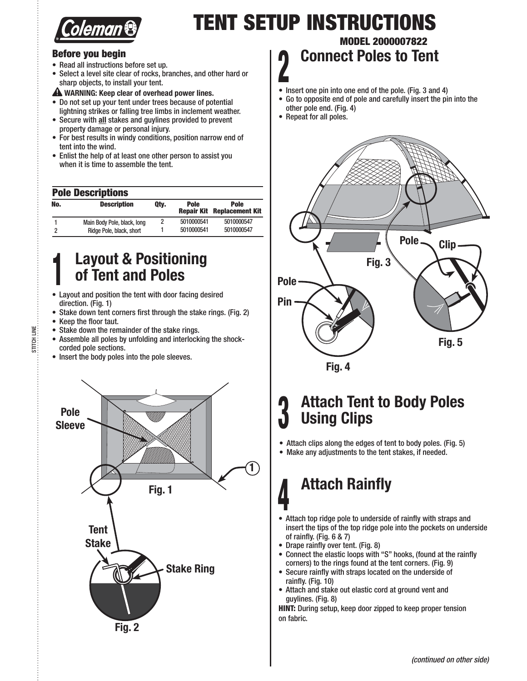

## **TENT SETUP INSTRUCTIONS**

## **Before you begin**

- Read all instructions before set up.
- Select a level site clear of rocks, branches, and other hard or sharp objects, to install your tent.

 **WARNING: Keep clear of overhead power lines.**

- Do not set up your tent under trees because of potential lightning strikes or falling tree limbs in inclement weather.
- Secure with all stakes and guylines provided to prevent property damage or personal injury.
- For best results in windy conditions, position narrow end of tent into the wind.
- Enlist the help of at least one other person to assist you when it is time to assemble the tent.

## **Pole Descriptions**

| No. | <b>Description</b>          | Qty. | <b>Pole</b><br><b>Repair Kit</b> | <b>Pole</b><br><b>Replacement Kit</b> |
|-----|-----------------------------|------|----------------------------------|---------------------------------------|
|     | Main Body Pole, black, long |      | 5010000541                       | 5010000547                            |
|     | Ridge Pole, black, short    |      | 5010000541                       | 5010000547                            |

# **<sup>1</sup> Layout & Positioning of Tent and Poles**

- Layout and position the tent with door facing desired direction. (Fig. 1)
- Stake down tent corners first through the stake rings. (Fig. 2)
- Keep the floor taut.

STITCH LINE

**STITCH LINE** 

- Stake down the remainder of the stake rings.
- Assemble all poles by unfolding and interlocking the shockcorded pole sections.
- Insert the body poles into the pole sleeves.



## **MODEL 2000007822 <sup>2</sup> Connect Poles to Tent**

- Insert one pin into one end of the pole. (Fig. 3 and 4)
- Go to opposite end of pole and carefully insert the pin into the other pole end. (Fig. 4)
- Repeat for all poles.



## **<sup>3</sup> Attach Tent to Body Poles Using Clips**

 $\bullet$  Attach clips along the edges of tent to body poles. (Fig. 5)

• Make any adjustments to the tent stakes, if needed.

## **<sup>4</sup> Attach Rainfly**

- Attach top ridge pole to underside of rainfly with straps and insert the tips of the top ridge pole into the pockets on underside of rainfly. (Fig. 6 & 7)
- Drape rainfly over tent. (Fig. 8)
- Connect the elastic loops with "S" hooks, (found at the rainfly corners) to the rings found at the tent corners. (Fig. 9)
- Secure rainfly with straps located on the underside of rainfly. (Fig. 10)
- Attach and stake out elastic cord at ground vent and guylines. (Fig. 8)

**HINT:** During setup, keep door zipped to keep proper tension on fabric.